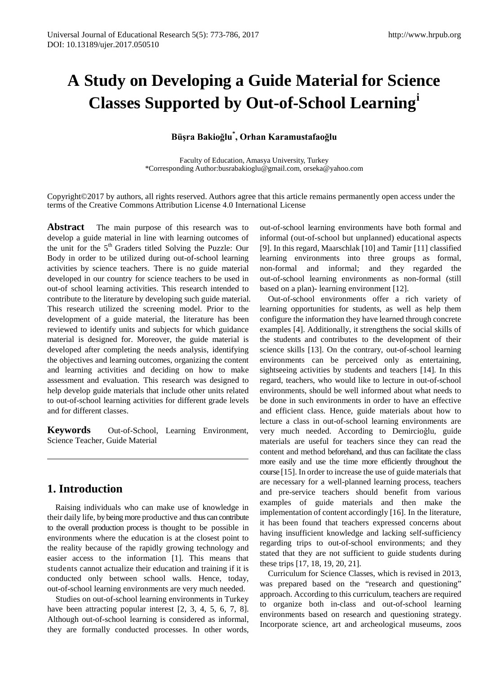# **A Study on Developing a Guide Material for Science Classes Supported by Out-of-School Learning[i](#page-13-0)**

# **Büşra Bakioğlu\* , Orhan Karamustafaoğlu**

Faculty of Education, Amasya University, Turkey

Copyright©2017 by authors, all rights reserved. Authors agree that this article remains permanently open access under the terms of the Creative Commons Attribution License 4.0 International License

Abstract The main purpose of this research was to develop a guide material in line with learning outcomes of the unit for the 5<sup>th</sup> Graders titled Solving the Puzzle: Our Body in order to be utilized during out-of-school learning activities by science teachers. There is no guide material developed in our country for science teachers to be used in out-of school learning activities. This research intended to contribute to the literature by developing such guide material. This research utilized the screening model. Prior to the development of a guide material, the literature has been reviewed to identify units and subjects for which guidance material is designed for. Moreover, the guide material is developed after completing the needs analysis, identifying the objectives and learning outcomes, organizing the content and learning activities and deciding on how to make assessment and evaluation. This research was designed to help develop guide materials that include other units related to out-of-school learning activities for different grade levels and for different classes.

**Keywords** Out-of-School, Learning Environment, Science Teacher, Guide Material

# **1. Introduction**

Raising individuals who can make use of knowledge in their daily life, by being more productive and thus can contribute to the overall production process is thought to be possible in environments where the education is at the closest point to the reality because of the rapidly growing technology and easier access to the information [1]. This means that students cannot actualize their education and training if it is conducted only between school walls. Hence, today, out-of-school learning environments are very much needed.

Studies on out-of-school learning environments in Turkey have been attracting popular interest [2, 3, 4, 5, 6, 7, 8]. Although out-of-school learning is considered as informal, they are formally conducted processes. In other words,

out-of-school learning environments have both formal and informal (out-of-school but unplanned) educational aspects [9]. In this regard, Maarschlak [10] and Tamir [11] classified learning environments into three groups as formal, non-formal and informal; and they regarded the out-of-school learning environments as non-formal (still based on a plan)- learning environment [12].

Out-of-school environments offer a rich variety of learning opportunities for students, as well as help them configure the information they have learned through concrete examples [4]. Additionally, it strengthens the social skills of the students and contributes to the development of their science skills [13]. On the contrary, out-of-school learning environments can be perceived only as entertaining, sightseeing activities by students and teachers [14]. In this regard, teachers, who would like to lecture in out-of-school environments, should be well informed about what needs to be done in such environments in order to have an effective and efficient class. Hence, guide materials about how to lecture a class in out-of-school learning environments are very much needed. According to Demircioğlu, guide materials are useful for teachers since they can read the content and method beforehand, and thus can facilitate the class more easily and use the time more efficiently throughout the course [15]. In order to increase the use of guide materials that are necessary for a well-planned learning process, teachers and pre-service teachers should benefit from various examples of guide materials and then make the implementation of content accordingly [16]. In the literature, it has been found that teachers expressed concerns about having insufficient knowledge and lacking self-sufficiency regarding trips to out-of-school environments; and they stated that they are not sufficient to guide students during these trips [17, 18, 19, 20, 21].

Curriculum for Science Classes, which is revised in 2013, was prepared based on the "research and questioning" approach. According to this curriculum, teachers are required to organize both in-class and out-of-school learning environments based on research and questioning strategy. Incorporate science, art and archeological museums, zoos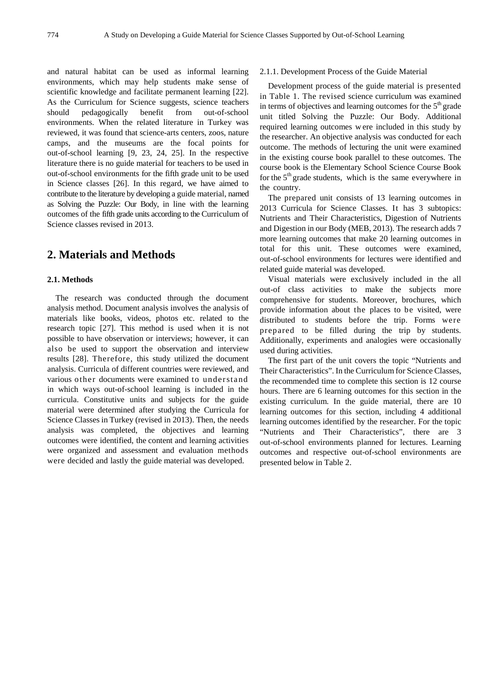and natural habitat can be used as informal learning environments, which may help students make sense of scientific knowledge and facilitate permanent learning [22]. As the Curriculum for Science suggests, science teachers should pedagogically benefit from out-of-school environments. When the related literature in Turkey was reviewed, it was found that science-arts centers, zoos, nature camps, and the museums are the focal points for out-of-school learning [9, 23, 24, 25]. In the respective literature there is no guide material for teachers to be used in out-of-school environments for the fifth grade unit to be used in Science classes [26]. In this regard, we have aimed to contribute to the literature by developing a guide material, named as Solving the Puzzle: Our Body, in line with the learning outcomes of the fifth grade units according to the Curriculum of Science classes revised in 2013.

# **2. Materials and Methods**

#### **2.1. Methods**

The research was conducted through the document analysis method. Document analysis involves the analysis of materials like books, videos, photos etc. related to the research topic [27]. This method is used when it is not possible to have observation or interviews; however, it can also be used to support the observation and interview results [28]. Therefore, this study utilized the document analysis. Curricula of different countries were reviewed, and various other documents were examined to understand in which ways out-of-school learning is included in the curricula. Constitutive units and subjects for the guide material were determined after studying the Curricula for Science Classes in Turkey (revised in 2013). Then, the needs analysis was completed, the objectives and learning outcomes were identified, the content and learning activities were organized and assessment and evaluation methods were decided and lastly the guide material was developed.

#### 2.1.1. Development Process of the Guide Material

Development process of the guide material is presented in Table 1. The revised science curriculum was examined in terms of objectives and learning outcomes for the  $5<sup>th</sup>$  grade unit titled Solving the Puzzle: Our Body. Additional required learning outcomes w ere included in this study by the researcher. An objective analysis was conducted for each outcome. The methods of lecturing the unit were examined in the existing course book parallel to these outcomes. The course book is the Elementary School Science Course Book for the  $5<sup>th</sup>$  grade students, which is the same everywhere in the country.

The prepared unit consists of 13 learning outcomes in 2013 Curricula for Science Classes. It has 3 subtopics: Nutrients and Their Characteristics, Digestion of Nutrients and Digestion in our Body (MEB, 2013). The research adds 7 more learning outcomes that make 20 learning outcomes in total for this unit. These outcomes were examined, out-of-school environments for lectures were identified and related guide material was developed.

Visual materials were exclusively included in the all out-of class activities to make the subjects more comprehensive for students. Moreover, brochures, which provide information about the places to be visited, were distributed to students before the trip. Forms were prepared to be filled during the trip by students. Additionally, experiments and analogies were occasionally used during activities.

The first part of the unit covers the topic "Nutrients and Their Characteristics". In the Curriculum for Science Classes, the recommended time to complete this section is 12 course hours. There are 6 learning outcomes for this section in the existing curriculum. In the guide material, there are 10 learning outcomes for this section, including 4 additional learning outcomes identified by the researcher. For the topic "Nutrients and Their Characteristics", there are 3 out-of-school environments planned for lectures. Learning outcomes and respective out-of-school environments are presented below in Table 2.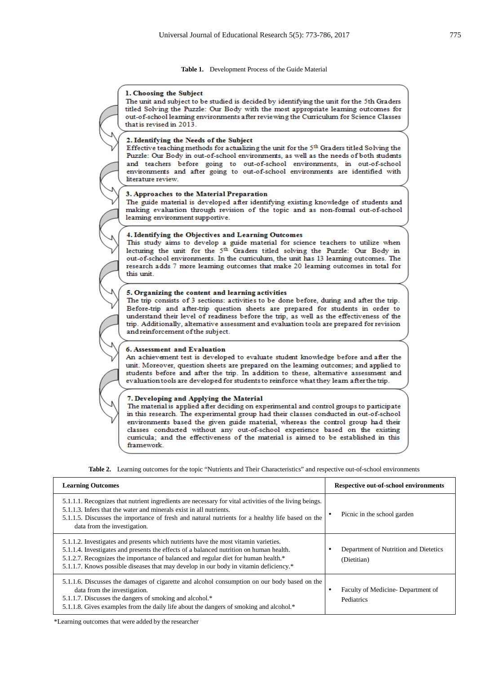**Table 1.** Development Process of the Guide Material



**Table 2.** Learning outcomes for the topic "Nutrients and Their Characteristics" and respective out-of-school environments

| <b>Learning Outcomes</b>                                                                                                                                                                                                                                                                                                                                      | <b>Respective out-of-school environments</b>         |
|---------------------------------------------------------------------------------------------------------------------------------------------------------------------------------------------------------------------------------------------------------------------------------------------------------------------------------------------------------------|------------------------------------------------------|
| 5.1.1.1. Recognizes that nutrient ingredients are necessary for vital activities of the living beings.<br>5.1.1.3. Infers that the water and minerals exist in all nutrients.<br>5.1.1.5. Discusses the importance of fresh and natural nutrients for a healthy life based on the<br>data from the investigation.                                             | Picnic in the school garden                          |
| 5.1.1.2. Investigates and presents which nutrients have the most vitamin varieties.<br>5.1.1.4. Investigates and presents the effects of a balanced nutrition on human health.<br>5.1.2.7. Recognizes the importance of balanced and regular diet for human health.*<br>5.1.1.7. Knows possible diseases that may develop in our body in vitamin deficiency.* | Department of Nutrition and Dietetics<br>(Dietitian) |
| 5.1.1.6. Discusses the damages of cigarette and alcohol consumption on our body based on the<br>data from the investigation.<br>5.1.1.7. Discusses the dangers of smoking and alcohol.*<br>5.1.1.8. Gives examples from the daily life about the dangers of smoking and alcohol.*                                                                             | Faculty of Medicine-Department of<br>٠<br>Pediatrics |

\*Learning outcomes that were added by the researcher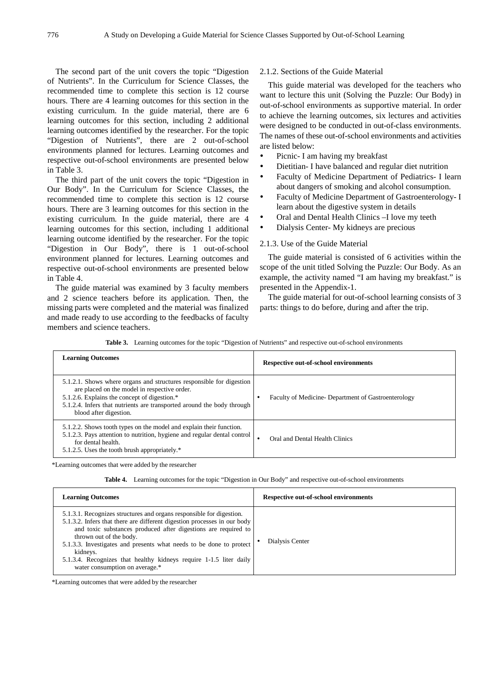The second part of the unit covers the topic "Digestion of Nutrients". In the Curriculum for Science Classes, the recommended time to complete this section is 12 course hours. There are 4 learning outcomes for this section in the existing curriculum. In the guide material, there are 6 learning outcomes for this section, including 2 additional learning outcomes identified by the researcher. For the topic "Digestion of Nutrients", there are 2 out-of-school environments planned for lectures. Learning outcomes and respective out-of-school environments are presented below in Table 3.

The third part of the unit covers the topic "Digestion in Our Body". In the Curriculum for Science Classes, the recommended time to complete this section is 12 course hours. There are 3 learning outcomes for this section in the existing curriculum. In the guide material, there are 4 learning outcomes for this section, including 1 additional learning outcome identified by the researcher. For the topic "Digestion in Our Body", there is 1 out-of-school environment planned for lectures. Learning outcomes and respective out-of-school environments are presented below in Table 4.

The guide material was examined by 3 faculty members and 2 science teachers before its application. Then, the missing parts were completed and the material was finalized and made ready to use according to the feedbacks of faculty members and science teachers.

#### 2.1.2. Sections of the Guide Material

This guide material was developed for the teachers who want to lecture this unit (Solving the Puzzle: Our Body) in out-of-school environments as supportive material. In order to achieve the learning outcomes, six lectures and activities were designed to be conducted in out-of-class environments. The names of these out-of-school environments and activities are listed below:

- Picnic- I am having my breakfast
- Dietitian- I have balanced and regular diet nutrition
- Faculty of Medicine Department of Pediatrics- I learn about dangers of smoking and alcohol consumption.
- Faculty of Medicine Department of Gastroenterology- I learn about the digestive system in details
- Oral and Dental Health Clinics –I love my teeth
- Dialysis Center- My kidneys are precious

#### 2.1.3. Use of the Guide Material

The guide material is consisted of 6 activities within the scope of the unit titled Solving the Puzzle: Our Body. As an example, the activity named "I am having my breakfast." is presented in the Appendix-1.

The guide material for out-of-school learning consists of 3 parts: things to do before, during and after the trip.

|  |  |  |  |  |  | Table 3. Learning outcomes for the topic "Digestion of Nutrients" and respective out-of-school environments |  |
|--|--|--|--|--|--|-------------------------------------------------------------------------------------------------------------|--|
|--|--|--|--|--|--|-------------------------------------------------------------------------------------------------------------|--|

| <b>Learning Outcomes</b>                                                                                                                                                                                                                                                 | Respective out-of-school environments              |
|--------------------------------------------------------------------------------------------------------------------------------------------------------------------------------------------------------------------------------------------------------------------------|----------------------------------------------------|
| 5.1.2.1. Shows where organs and structures responsible for digestion<br>are placed on the model in respective order.<br>5.1.2.6. Explains the concept of digestion.*<br>5.1.2.4. Infers that nutrients are transported around the body through<br>blood after digestion. | Faculty of Medicine-Department of Gastroenterology |
| 5.1.2.2. Shows tooth types on the model and explain their function.<br>5.1.2.3. Pays attention to nutrition, hygiene and regular dental control<br>for dental health.<br>5.1.2.5. Uses the tooth brush appropriately.*                                                   | Oral and Dental Health Clinics<br>٠                |

\*Learning outcomes that were added by the researcher

|  | Table 4. Learning outcomes for the topic "Digestion in Our Body" and respective out-of-school environments |  |  |  |  |  |  |
|--|------------------------------------------------------------------------------------------------------------|--|--|--|--|--|--|
|--|------------------------------------------------------------------------------------------------------------|--|--|--|--|--|--|

| <b>Learning Outcomes</b>                                                                                                                                                                                                                                                                                                                                                                                                                 | <b>Respective out-of-school environments</b> |
|------------------------------------------------------------------------------------------------------------------------------------------------------------------------------------------------------------------------------------------------------------------------------------------------------------------------------------------------------------------------------------------------------------------------------------------|----------------------------------------------|
| 5.1.3.1. Recognizes structures and organs responsible for digestion.<br>5.1.3.2. Infers that there are different digestion processes in our body<br>and toxic substances produced after digestions are required to<br>thrown out of the body.<br>5.1.3.3. Investigates and presents what needs to be done to protect<br>kidneys.<br>5.1.3.4. Recognizes that healthy kidneys require 1-1.5 liter daily<br>water consumption on average.* | Dialysis Center                              |

\*Learning outcomes that were added by the researcher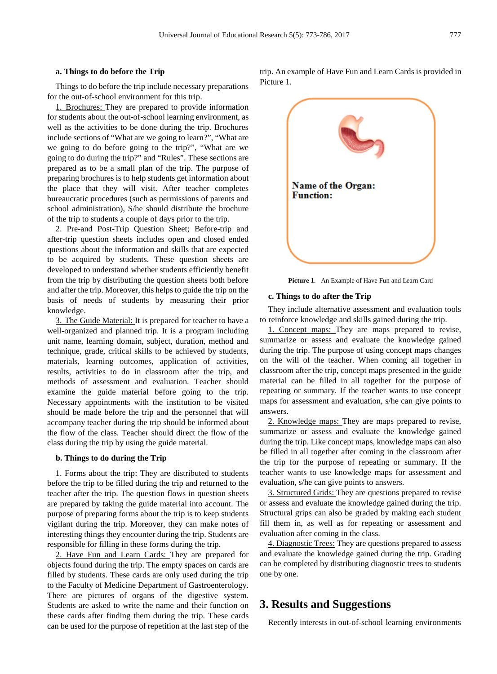#### **a. Things to do before the Trip**

Things to do before the trip include necessary preparations for the out-of-school environment for this trip.

1. Brochures: They are prepared to provide information for students about the out-of-school learning environment, as well as the activities to be done during the trip. Brochures include sections of "What are we going to learn?", "What are we going to do before going to the trip?", "What are we going to do during the trip?" and "Rules". These sections are prepared as to be a small plan of the trip. The purpose of preparing brochures is to help students get information about the place that they will visit. After teacher completes bureaucratic procedures (such as permissions of parents and school administration), S/he should distribute the brochure of the trip to students a couple of days prior to the trip.

2. Pre-and Post-Trip Question Sheet; Before-trip and after-trip question sheets includes open and closed ended questions about the information and skills that are expected to be acquired by students. These question sheets are developed to understand whether students efficiently benefit from the trip by distributing the question sheets both before and after the trip. Moreover, this helps to guide the trip on the basis of needs of students by measuring their prior knowledge.

3. The Guide Material: It is prepared for teacher to have a well-organized and planned trip. It is a program including unit name, learning domain, subject, duration, method and technique, grade, critical skills to be achieved by students, materials, learning outcomes, application of activities, results, activities to do in classroom after the trip, and methods of assessment and evaluation. Teacher should examine the guide material before going to the trip. Necessary appointments with the institution to be visited should be made before the trip and the personnel that will accompany teacher during the trip should be informed about the flow of the class. Teacher should direct the flow of the class during the trip by using the guide material.

#### **b. Things to do during the Trip**

1. Forms about the trip: They are distributed to students before the trip to be filled during the trip and returned to the teacher after the trip. The question flows in question sheets are prepared by taking the guide material into account. The purpose of preparing forms about the trip is to keep students vigilant during the trip. Moreover, they can make notes of interesting things they encounter during the trip. Students are responsible for filling in these forms during the trip.

2. Have Fun and Learn Cards: They are prepared for objects found during the trip. The empty spaces on cards are filled by students. These cards are only used during the trip to the Faculty of Medicine Department of Gastroenterology. There are pictures of organs of the digestive system. Students are asked to write the name and their function on these cards after finding them during the trip. These cards can be used for the purpose of repetition at the last step of the trip. An example of Have Fun and Learn Cards is provided in Picture 1.



**Picture 1**. An Example of Have Fun and Learn Card

They include alternative assessment and evaluation tools to reinforce knowledge and skills gained during the trip.

1. Concept maps: They are maps prepared to revise, summarize or assess and evaluate the knowledge gained during the trip. The purpose of using concept maps changes on the will of the teacher. When coming all together in classroom after the trip, concept maps presented in the guide material can be filled in all together for the purpose of repeating or summary. If the teacher wants to use concept maps for assessment and evaluation, s/he can give points to answers.

2. Knowledge maps: They are maps prepared to revise, summarize or assess and evaluate the knowledge gained during the trip. Like concept maps, knowledge maps can also be filled in all together after coming in the classroom after the trip for the purpose of repeating or summary. If the teacher wants to use knowledge maps for assessment and evaluation, s/he can give points to answers.

3. Structured Grids: They are questions prepared to revise or assess and evaluate the knowledge gained during the trip. Structural grips can also be graded by making each student fill them in, as well as for repeating or assessment and evaluation after coming in the class.

4. Diagnostic Trees: They are questions prepared to assess and evaluate the knowledge gained during the trip. Grading can be completed by distributing diagnostic trees to students one by one.

## **3. Results and Suggestions**

Recently interests in out-of-school learning environments

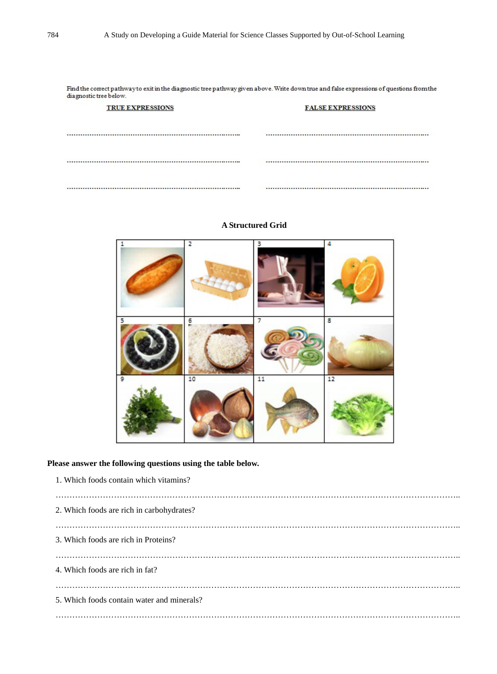Find the correct pathway to exit in the diagnostic tree pathway given above. Write down true and false expressions of questions from the diagnostic tree below.

| <b>TRUE EXPRESSIONS</b> | <b>FALSE EXPRESSIONS</b> |  |  |
|-------------------------|--------------------------|--|--|
|                         |                          |  |  |
|                         |                          |  |  |
|                         |                          |  |  |
|                         |                          |  |  |

| 1 | 2  | в  | 4  |
|---|----|----|----|
| 5 | b. | 7  | 8  |
| 9 | 10 | 11 | 12 |

### **A Structured Grid**

## **Please answer the following questions using the table below.**

| 1. Which foods contain which vitamins?     |
|--------------------------------------------|
| 2. Which foods are rich in carbohydrates?  |
| 3. Which foods are rich in Proteins?       |
| 4. Which foods are rich in fat?            |
| 5. Which foods contain water and minerals? |
|                                            |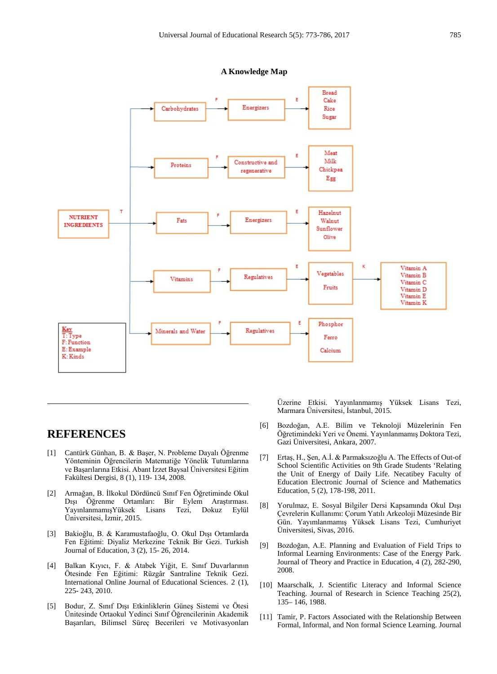

#### **A Knowledge Map**

# **REFERENCES**

- [1] Cantürk Günhan, B. & Başer, N. Probleme Dayalı Öğrenme Yönteminin Öğrencilerin Matematiğe Yönelik Tutumlarına ve Başarılarına Etkisi. Abant İzzet Baysal Üniversitesi Eğitim Fakültesi Dergisi, 8 (1), 119- 134, 2008.
- [2] Armağan, B. İlkokul Dördüncü Sınıf Fen Öğretiminde Okul Dışı Öğrenme Ortamları: Bir Eylem Araştırması. YayınlanmamışYüksek Lisans Tezi, Dokuz Eylül Üniversitesi, İzmir, 2015.
- [3] Bakioğlu, B. & Karamustafaoğlu, O. Okul Dışı Ortamlarda Fen Eğitimi: Diyaliz Merkezine Teknik Bir Gezi. Turkish Journal of Education, 3 (2), 15- 26, 2014.
- [4] Balkan Kıyıcı, F. & Atabek Yiğit, E. Sınıf Duvarlarının Ötesinde Fen Eğitimi: Rüzgâr Santraline Teknik Gezi. International Online Journal of Educational Sciences. 2 (1), 225- 243, 2010.
- [5] Bodur, Z. Sınıf Dışı Etkinliklerin Güneş Sistemi ve Ötesi Ünitesinde Ortaokul Yedinci Sınıf Öğrencilerinin Akademik Başarıları, Bilimsel Süreç Becerileri ve Motivasyonları

Üzerine Etkisi. Yayınlanmamış Yüksek Lisans Tezi, Marmara Üniversitesi, İstanbul, 2015.

- [6] Bozdoğan, A.E. Bilim ve Teknoloji Müzelerinin Fen Öğretimindeki Yeri ve Önemi. Yayınlanmamış Doktora Tezi, Gazi Üniversitesi, Ankara, 2007.
- [7] Ertaş, H., Şen, A.İ. & Parmaksızoğlu A. The Effects of Out-of School Scientific Activities on 9th Grade Students 'Relating the Unit of Energy of Daily Life. Necatibey Faculty of Education Electronic Journal of Science and Mathematics Education, 5 (2), 178-198, 2011.
- [8] Yorulmaz, E. Sosyal Bilgiler Dersi Kapsamında Okul Dışı Çevrelerin Kullanımı: Çorum Yatılı Arkeoloji Müzesinde Bir Gün. Yayımlanmamış Yüksek Lisans Tezi, Cumhuriyet Üniversitesi, Sivas, 2016.
- [9] Bozdoğan, A.E. Planning and Evaluation of Field Trips to Informal Learning Environments: Case of the Energy Park. Journal of Theory and Practice in Education, 4 (2), 282-290, 2008.
- [10] Maarschalk, J. Scientific Literacy and Informal Science Teaching. Journal of Research in Science Teaching 25(2), 135– 146, 1988.
- [11] Tamir, P. Factors Associated with the Relationship Between Formal, Informal, and Non formal Science Learning. Journal